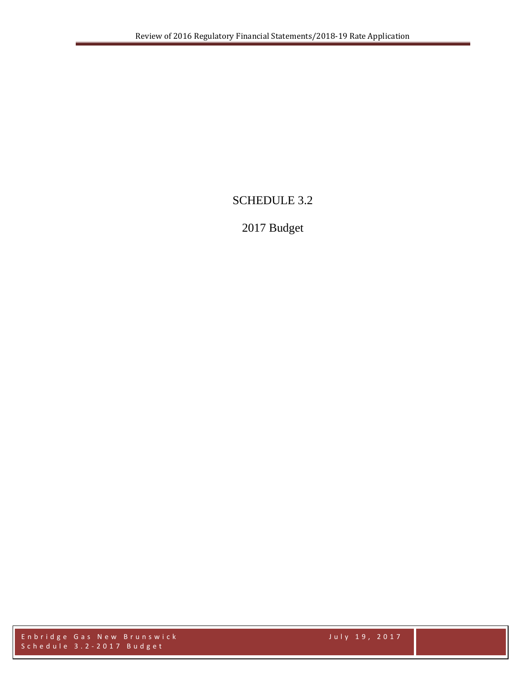# SCHEDULE 3.2

# 2017 Budget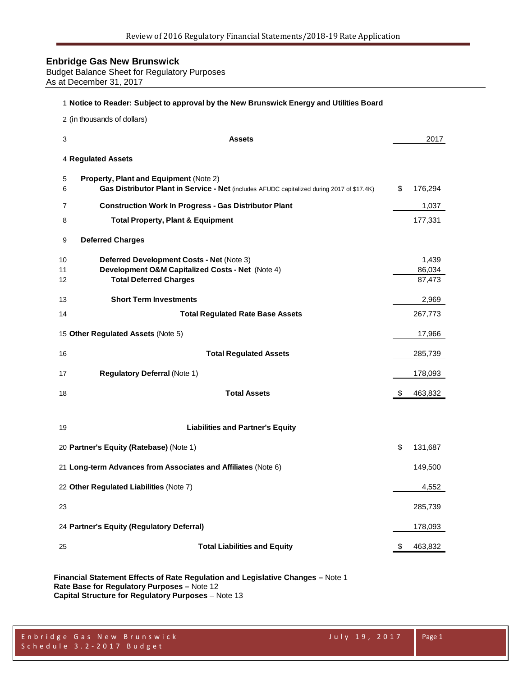Budget Balance Sheet for Regulatory Purposes As at December 31, 2017

#### **Notice to Reader: Subject to approval by the New Brunswick Energy and Utilities Board**

(in thousands of dollars)

| 3        | <b>Assets</b>                                                                                                                        | 2017             |
|----------|--------------------------------------------------------------------------------------------------------------------------------------|------------------|
|          | 4 Regulated Assets                                                                                                                   |                  |
| 5<br>6   | Property, Plant and Equipment (Note 2)<br>Gas Distributor Plant in Service - Net (includes AFUDC capitalized during 2017 of \$17.4K) | \$<br>176,294    |
| 7        | <b>Construction Work In Progress - Gas Distributor Plant</b>                                                                         | 1,037            |
| 8        | <b>Total Property, Plant &amp; Equipment</b>                                                                                         | 177,331          |
| 9        | <b>Deferred Charges</b>                                                                                                              |                  |
| 10       | Deferred Development Costs - Net (Note 3)                                                                                            | 1,439            |
| 11<br>12 | Development O&M Capitalized Costs - Net (Note 4)<br><b>Total Deferred Charges</b>                                                    | 86,034<br>87,473 |
| 13       | <b>Short Term Investments</b>                                                                                                        | 2,969            |
| 14       | <b>Total Regulated Rate Base Assets</b>                                                                                              | 267,773          |
|          | 15 Other Regulated Assets (Note 5)                                                                                                   | 17,966           |
| 16       | <b>Total Regulated Assets</b>                                                                                                        | 285,739          |
| 17       | <b>Regulatory Deferral (Note 1)</b>                                                                                                  | 178,093          |
| 18       | <b>Total Assets</b>                                                                                                                  | \$<br>463,832    |
|          |                                                                                                                                      |                  |
| 19       | <b>Liabilities and Partner's Equity</b>                                                                                              |                  |
|          | 20 Partner's Equity (Ratebase) (Note 1)                                                                                              | \$<br>131,687    |
|          | 21 Long-term Advances from Associates and Affiliates (Note 6)                                                                        | 149,500          |
|          | 22 Other Regulated Liabilities (Note 7)                                                                                              | 4,552            |
| 23       |                                                                                                                                      | 285,739          |
|          | 24 Partner's Equity (Regulatory Deferral)                                                                                            | 178,093          |
| 25       | <b>Total Liabilities and Equity</b>                                                                                                  | \$<br>463,832    |

**Financial Statement Effects of Rate Regulation and Legislative Changes –** Note 1 **Rate Base for Regulatory Purposes –** Note 12 **Capital Structure for Regulatory Purposes** – Note 13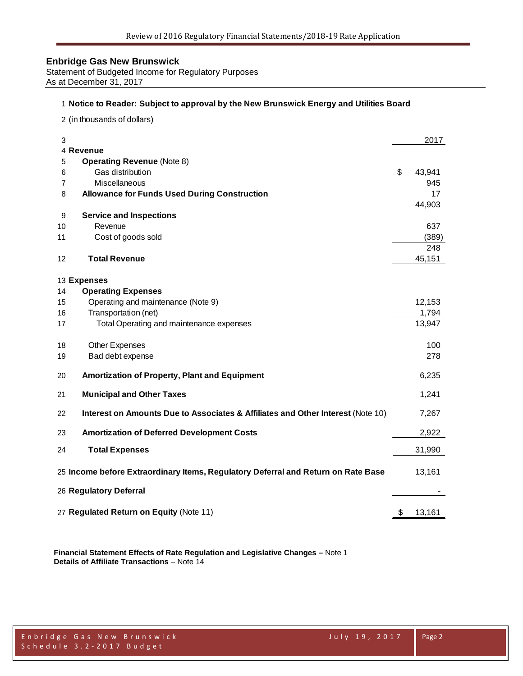Statement of Budgeted Income for Regulatory Purposes As at December 31, 2017

#### **Notice to Reader: Subject to approval by the New Brunswick Energy and Utilities Board**

(in thousands of dollars)

| 3      |                                                                                   | 2017          |
|--------|-----------------------------------------------------------------------------------|---------------|
|        | 4 Revenue                                                                         |               |
| 5      | <b>Operating Revenue (Note 8)</b><br>Gas distribution                             | \$            |
| 6<br>7 | Miscellaneous                                                                     | 43,941<br>945 |
|        |                                                                                   |               |
| 8      | <b>Allowance for Funds Used During Construction</b>                               | 17            |
|        |                                                                                   | 44,903        |
| 9      | <b>Service and Inspections</b><br>Revenue                                         |               |
| 10     |                                                                                   | 637           |
| 11     | Cost of goods sold                                                                | (389)         |
|        |                                                                                   | 248           |
| 12     | <b>Total Revenue</b>                                                              | 45,151        |
|        | 13 Expenses                                                                       |               |
| 14     | <b>Operating Expenses</b>                                                         |               |
| 15     | Operating and maintenance (Note 9)                                                | 12,153        |
| 16     | Transportation (net)                                                              | 1,794         |
| 17     | Total Operating and maintenance expenses                                          | 13,947        |
|        |                                                                                   |               |
| 18     | Other Expenses                                                                    | 100           |
| 19     | Bad debt expense                                                                  | 278           |
|        |                                                                                   |               |
| 20     | <b>Amortization of Property, Plant and Equipment</b>                              | 6,235         |
| 21     | <b>Municipal and Other Taxes</b>                                                  | 1,241         |
| 22     | Interest on Amounts Due to Associates & Affiliates and Other Interest (Note 10)   | 7,267         |
| 23     | <b>Amortization of Deferred Development Costs</b>                                 | 2,922         |
| 24     | <b>Total Expenses</b>                                                             | 31,990        |
|        | 25 Income before Extraordinary Items, Regulatory Deferral and Return on Rate Base | 13,161        |
|        |                                                                                   |               |
|        | 26 Regulatory Deferral                                                            |               |
|        |                                                                                   |               |
|        | 27 Regulated Return on Equity (Note 11)                                           | \$<br>13,161  |

**Financial Statement Effects of Rate Regulation and Legislative Changes –** Note 1 **Details of Affiliate Transactions** – Note 14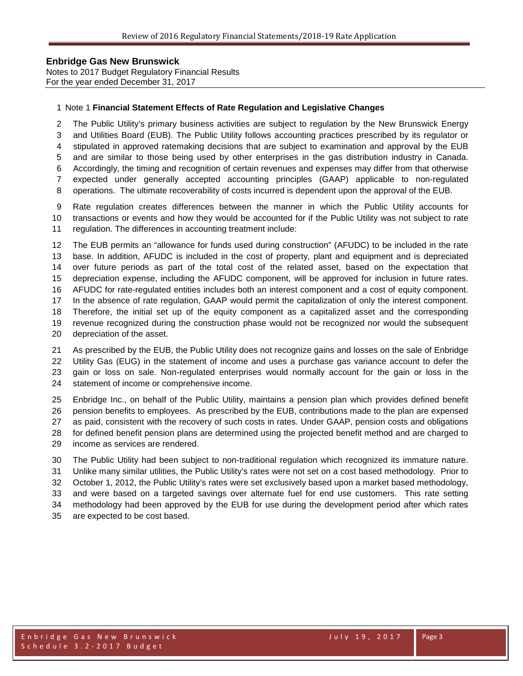Notes to 2017 Budget Regulatory Financial Results For the year ended December 31, 2017

#### Note 1 **Financial Statement Effects of Rate Regulation and Legislative Changes**

The Public Utility's primary business activities are subject to regulation by the New Brunswick Energy

and Utilities Board (EUB). The Public Utility follows accounting practices prescribed by its regulator or

stipulated in approved ratemaking decisions that are subject to examination and approval by the EUB

 and are similar to those being used by other enterprises in the gas distribution industry in Canada. Accordingly, the timing and recognition of certain revenues and expenses may differ from that otherwise

expected under generally accepted accounting principles (GAAP) applicable to non-regulated

operations. The ultimate recoverability of costs incurred is dependent upon the approval of the EUB.

 Rate regulation creates differences between the manner in which the Public Utility accounts for transactions or events and how they would be accounted for if the Public Utility was not subject to rate regulation. The differences in accounting treatment include:

 The EUB permits an "allowance for funds used during construction" (AFUDC) to be included in the rate base. In addition, AFUDC is included in the cost of property, plant and equipment and is depreciated over future periods as part of the total cost of the related asset, based on the expectation that depreciation expense, including the AFUDC component, will be approved for inclusion in future rates. AFUDC for rate-regulated entities includes both an interest component and a cost of equity component. In the absence of rate regulation, GAAP would permit the capitalization of only the interest component. Therefore, the initial set up of the equity component as a capitalized asset and the corresponding revenue recognized during the construction phase would not be recognized nor would the subsequent depreciation of the asset.

 As prescribed by the EUB, the Public Utility does not recognize gains and losses on the sale of Enbridge Utility Gas (EUG) in the statement of income and uses a purchase gas variance account to defer the gain or loss on sale. Non-regulated enterprises would normally account for the gain or loss in the statement of income or comprehensive income.

 Enbridge Inc., on behalf of the Public Utility, maintains a pension plan which provides defined benefit pension benefits to employees. As prescribed by the EUB, contributions made to the plan are expensed as paid, consistent with the recovery of such costs in rates. Under GAAP, pension costs and obligations for defined benefit pension plans are determined using the projected benefit method and are charged to income as services are rendered.

 The Public Utility had been subject to non-traditional regulation which recognized its immature nature. Unlike many similar utilities, the Public Utility's rates were not set on a cost based methodology. Prior to October 1, 2012, the Public Utility's rates were set exclusively based upon a market based methodology, and were based on a targeted savings over alternate fuel for end use customers. This rate setting methodology had been approved by the EUB for use during the development period after which rates are expected to be cost based.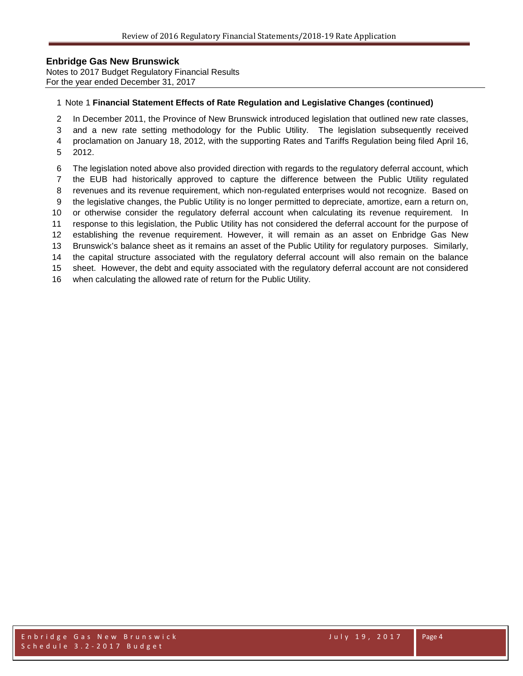Notes to 2017 Budget Regulatory Financial Results For the year ended December 31, 2017

#### Note 1 **Financial Statement Effects of Rate Regulation and Legislative Changes (continued)**

In December 2011, the Province of New Brunswick introduced legislation that outlined new rate classes,

 and a new rate setting methodology for the Public Utility. The legislation subsequently received proclamation on January 18, 2012, with the supporting Rates and Tariffs Regulation being filed April 16,

- 2012.
- The legislation noted above also provided direction with regards to the regulatory deferral account, which

the EUB had historically approved to capture the difference between the Public Utility regulated

- revenues and its revenue requirement, which non-regulated enterprises would not recognize. Based on
- the legislative changes, the Public Utility is no longer permitted to depreciate, amortize, earn a return on,
- or otherwise consider the regulatory deferral account when calculating its revenue requirement. In response to this legislation, the Public Utility has not considered the deferral account for the purpose of
- establishing the revenue requirement. However, it will remain as an asset on Enbridge Gas New

Brunswick's balance sheet as it remains an asset of the Public Utility for regulatory purposes. Similarly,

the capital structure associated with the regulatory deferral account will also remain on the balance

sheet. However, the debt and equity associated with the regulatory deferral account are not considered

when calculating the allowed rate of return for the Public Utility.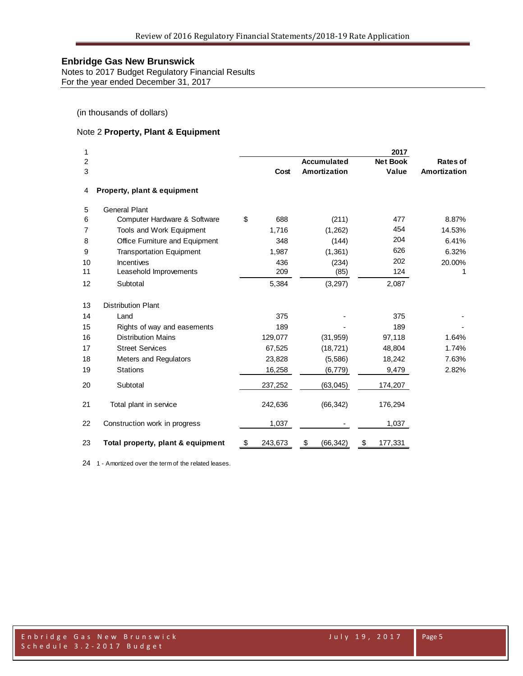Notes to 2017 Budget Regulatory Financial Results For the year ended December 31, 2017

(in thousands of dollars)

## Note 2 **Property, Plant & Equipment**

| 1<br>2<br>3 |                                   | Cost          | <b>Accumulated</b><br>Amortization | 2017<br><b>Net Book</b><br>Value | <b>Rates of</b><br><b>Amortization</b> |
|-------------|-----------------------------------|---------------|------------------------------------|----------------------------------|----------------------------------------|
| 4           | Property, plant & equipment       |               |                                    |                                  |                                        |
| 5           | <b>General Plant</b>              |               |                                    |                                  |                                        |
| 6           | Computer Hardware & Software      | \$<br>688     | (211)                              | 477                              | 8.87%                                  |
| 7           | Tools and Work Equipment          | 1,716         | (1, 262)                           | 454                              | 14.53%                                 |
| 8           | Office Furniture and Equipment    | 348           | (144)                              | 204                              | 6.41%                                  |
| 9           | <b>Transportation Equipment</b>   | 1,987         | (1, 361)                           | 626                              | 6.32%                                  |
| 10          | <b>Incentives</b>                 | 436           | (234)                              | 202                              | 20.00%                                 |
| 11          | Leasehold Improvements            | 209           | (85)                               | 124                              | 1                                      |
| 12          | Subtotal                          | 5,384         | (3, 297)                           | 2,087                            |                                        |
| 13          | <b>Distribution Plant</b>         |               |                                    |                                  |                                        |
| 14          | Land                              | 375           |                                    | 375                              |                                        |
| 15          | Rights of way and easements       | 189           |                                    | 189                              |                                        |
| 16          | <b>Distribution Mains</b>         | 129,077       | (31, 959)                          | 97,118                           | 1.64%                                  |
| 17          | <b>Street Services</b>            | 67,525        | (18, 721)                          | 48,804                           | 1.74%                                  |
| 18          | Meters and Regulators             | 23,828        | (5,586)                            | 18,242                           | 7.63%                                  |
| 19          | <b>Stations</b>                   | 16,258        | (6, 779)                           | 9,479                            | 2.82%                                  |
| 20          | Subtotal                          | 237,252       | (63, 045)                          | 174,207                          |                                        |
| 21          | Total plant in service            | 242,636       | (66, 342)                          | 176,294                          |                                        |
| 22          | Construction work in progress     | 1,037         |                                    | 1,037                            |                                        |
| 23          | Total property, plant & equipment | \$<br>243,673 | \$<br>(66, 342)                    | \$<br>177,331                    |                                        |

1 - Amortized over the term of the related leases.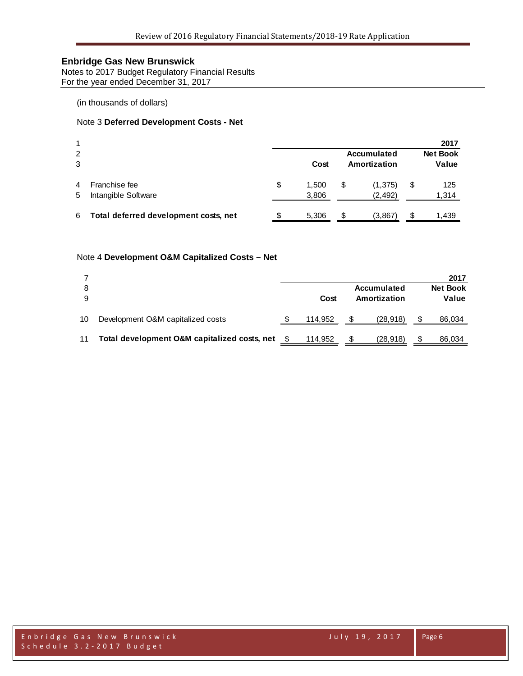Notes to 2017 Budget Regulatory Financial Results For the year ended December 31, 2017

(in thousands of dollars)

## Note 3 **Deferred Development Costs - Net**

| 1      |                                       |    |                |    |                      | 2017               |  |  |  |  |      |  |                             |                          |
|--------|---------------------------------------|----|----------------|----|----------------------|--------------------|--|--|--|--|------|--|-----------------------------|--------------------------|
| 2<br>3 |                                       |    |                |    |                      |                    |  |  |  |  | Cost |  | Accumulated<br>Amortization | <b>Net Book</b><br>Value |
| 4<br>5 | Franchise fee<br>Intangible Software  | \$ | 1.500<br>3,806 | \$ | (1, 375)<br>(2, 492) | \$<br>125<br>1,314 |  |  |  |  |      |  |                             |                          |
| 6      | Total deferred development costs, net |    | 5,306          | S  | (3,867               | 1,439              |  |  |  |  |      |  |                             |                          |

#### Note 4 **Development O&M Capitalized Costs – Net**

|    |                                              |         |              |             | 2017            |
|----|----------------------------------------------|---------|--------------|-------------|-----------------|
| 8  |                                              |         |              | Accumulated | <b>Net Book</b> |
| 9  |                                              | Cost    | Amortization |             | Value           |
| 10 | Development O&M capitalized costs            | 114,952 | S            | (28, 918)   | 86,034          |
| 11 | Total development O&M capitalized costs, net | 114,952 | S            | (28, 918)   | 86,034          |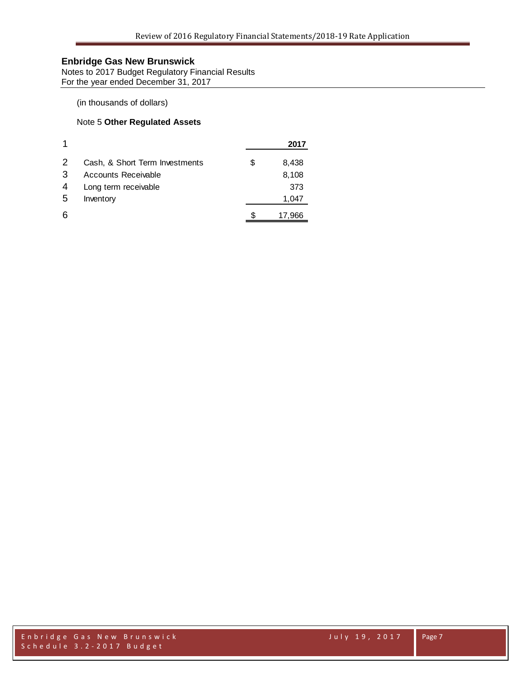Notes to 2017 Budget Regulatory Financial Results For the year ended December 31, 2017

(in thousands of dollars)

## Note 5 **Other Regulated Assets**

|   |                                |   | 2017   |
|---|--------------------------------|---|--------|
| 2 | Cash, & Short Term Investments | S | 8,438  |
| 3 | Accounts Receivable            |   | 8,108  |
| 4 | Long term receivable           |   | 373    |
| 5 | Inventory                      |   | 1,047  |
| 6 |                                |   | 17,966 |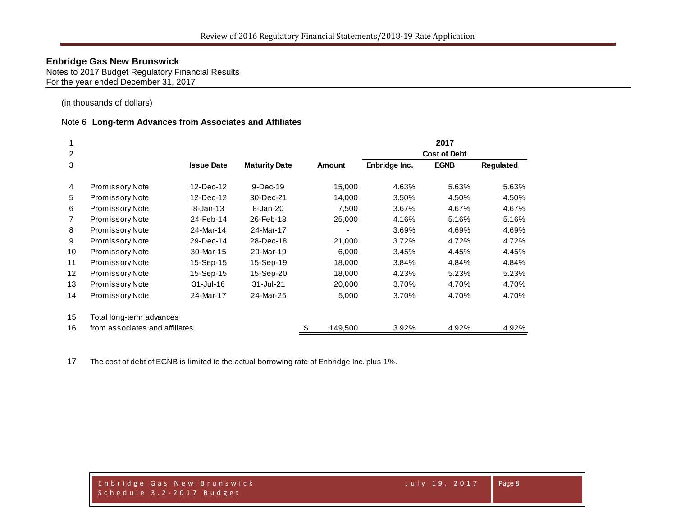Notes to 2017 Budget Regulatory Financial Results For the year ended December 31, 2017

(in thousands of dollars)

#### Note 6 **Long-term Advances from Associates and Affiliates**

|                   |                                |                   |                      |               |               | 2017                |                  |
|-------------------|--------------------------------|-------------------|----------------------|---------------|---------------|---------------------|------------------|
| 2                 |                                |                   |                      |               |               | <b>Cost of Debt</b> |                  |
| 3                 |                                | <b>Issue Date</b> | <b>Maturity Date</b> | <b>Amount</b> | Enbridge Inc. | <b>EGNB</b>         | <b>Regulated</b> |
| 4                 | <b>Promissory Note</b>         | 12-Dec-12         | $9-Dec-19$           | 15,000        | 4.63%         | 5.63%               | 5.63%            |
| 5                 | <b>Promissory Note</b>         | 12-Dec-12         | 30-Dec-21            | 14,000        | 3.50%         | 4.50%               | 4.50%            |
| 6                 | <b>Promissory Note</b>         | $8 - Jan - 13$    | 8-Jan-20             | 7,500         | 3.67%         | 4.67%               | 4.67%            |
| $\overline{7}$    | <b>Promissory Note</b>         | 24-Feb-14         | 26-Feb-18            | 25,000        | 4.16%         | 5.16%               | 5.16%            |
| 8                 | <b>Promissory Note</b>         | 24-Mar-14         | 24-Mar-17            |               | 3.69%         | 4.69%               | 4.69%            |
| 9                 | <b>Promissory Note</b>         | 29-Dec-14         | 28-Dec-18            | 21,000        | 3.72%         | 4.72%               | 4.72%            |
| 10                | <b>Promissory Note</b>         | 30-Mar-15         | 29-Mar-19            | 6,000         | 3.45%         | 4.45%               | 4.45%            |
| 11                | <b>Promissory Note</b>         | 15-Sep-15         | 15-Sep-19            | 18,000        | 3.84%         | 4.84%               | 4.84%            |
| $12 \overline{ }$ | <b>Promissory Note</b>         | 15-Sep-15         | 15-Sep-20            | 18,000        | 4.23%         | 5.23%               | 5.23%            |
| 13                | Promissory Note                | $31 -$ Jul $-16$  | 31-Jul-21            | 20,000        | 3.70%         | 4.70%               | 4.70%            |
| 14                | <b>Promissory Note</b>         | 24-Mar-17         | 24-Mar-25            | 5,000         | 3.70%         | 4.70%               | 4.70%            |
| 15                | Total long-term advances       |                   |                      |               |               |                     |                  |
| 16                | from associates and affiliates |                   |                      | \$<br>149,500 | 3.92%         | 4.92%               | 4.92%            |

The cost of debt of EGNB is limited to the actual borrowing rate of Enbridge Inc. plus 1%.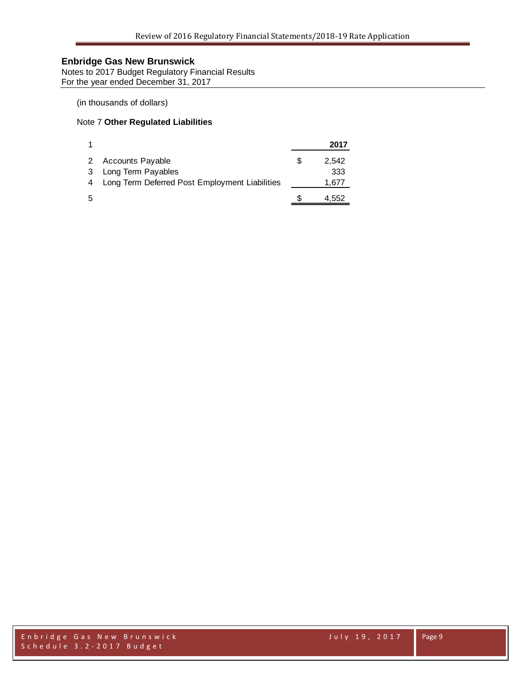Notes to 2017 Budget Regulatory Financial Results For the year ended December 31, 2017

## (in thousands of dollars)

#### Note 7 **Other Regulated Liabilities**

|   |                                                  | 2017        |
|---|--------------------------------------------------|-------------|
|   | 2 Accounts Payable                               | \$<br>2.542 |
| 3 | Long Term Payables                               | 333         |
|   | 4 Long Term Deferred Post Employment Liabilities | 1,677       |
| 5 |                                                  | 4,552       |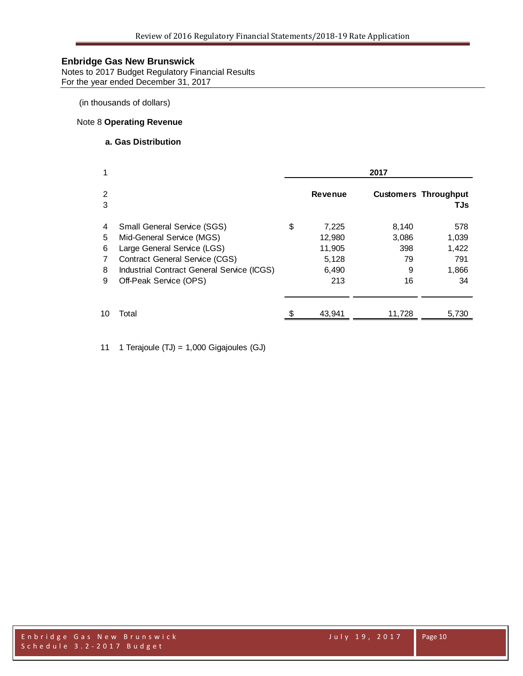Notes to 2017 Budget Regulatory Financial Results For the year ended December 31, 2017

(in thousands of dollars)

#### Note 8 **Operating Revenue**

#### **a. Gas Distribution**

| 1                          |                                                                                                                                                                                                                 | 2017 |                                                    |                                        |                                             |  |  |
|----------------------------|-----------------------------------------------------------------------------------------------------------------------------------------------------------------------------------------------------------------|------|----------------------------------------------------|----------------------------------------|---------------------------------------------|--|--|
| 2<br>3                     |                                                                                                                                                                                                                 |      | <b>Revenue</b>                                     |                                        | <b>Customers Throughput</b><br>TJs          |  |  |
| 4<br>5<br>6<br>7<br>8<br>9 | <b>Small General Service (SGS)</b><br>Mid-General Service (MGS)<br>Large General Service (LGS)<br><b>Contract General Service (CGS)</b><br>Industrial Contract General Service (ICGS)<br>Off-Peak Service (OPS) | S    | 7,225<br>12,980<br>11,905<br>5,128<br>6,490<br>213 | 8.140<br>3,086<br>398<br>79<br>9<br>16 | 578<br>1,039<br>1,422<br>791<br>1,866<br>34 |  |  |
| 10                         | Total                                                                                                                                                                                                           |      | 43,941                                             | 11.728                                 | 5,730                                       |  |  |

11 1 Terajoule (TJ) = 1,000 Gigajoules (GJ)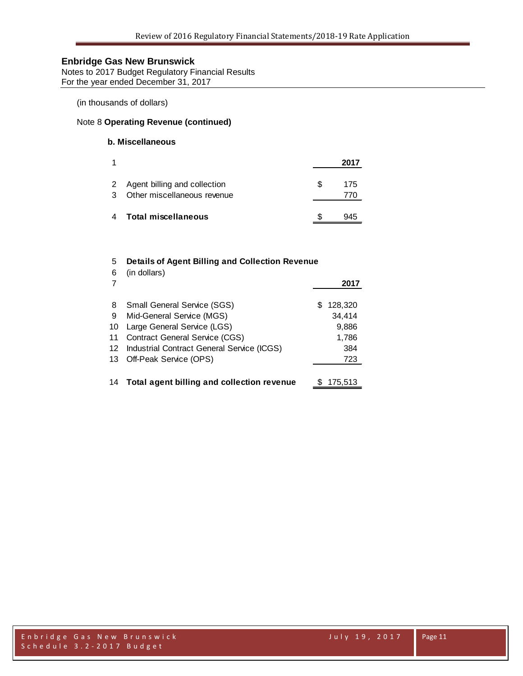Notes to 2017 Budget Regulatory Financial Results For the year ended December 31, 2017

(in thousands of dollars)

## Note 8 **Operating Revenue (continued)**

## **b. Miscellaneous**

| 1 |                                                               |    | 2017 |
|---|---------------------------------------------------------------|----|------|
| 3 | 2 Agent billing and collection<br>Other miscellaneous revenue | S. | 175  |
| 4 | Total miscellaneous                                           |    | 945  |

#### 5 **Details of Agent Billing and Collection Revenue**

| 6  | (in dollars)                                  |               |
|----|-----------------------------------------------|---------------|
|    |                                               | 2017          |
| 8  | <b>Small General Service (SGS)</b>            | 128,320<br>S. |
| -9 | Mid-General Service (MGS)                     | 34,414        |
| 10 | Large General Service (LGS)                   | 9,886         |
| 11 | <b>Contract General Service (CGS)</b>         | 1,786         |
| 12 | Industrial Contract General Service (ICGS)    | 384           |
|    | 13 Off-Peak Service (OPS)                     | 723           |
|    |                                               |               |
|    | 14 Total agent billing and collection revenue | 175.513       |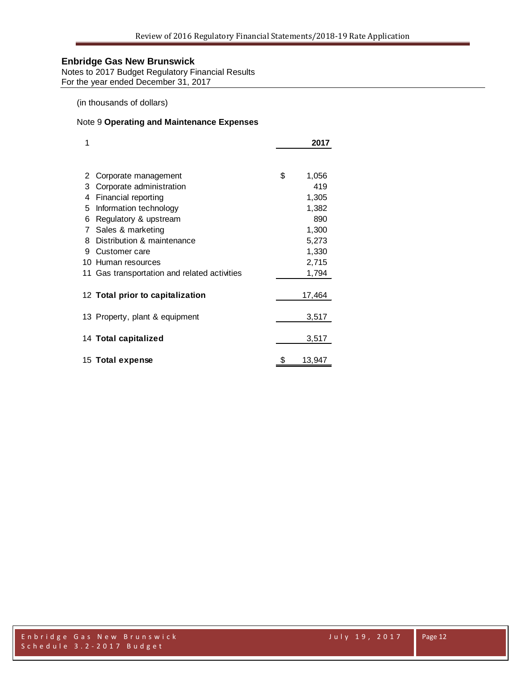Notes to 2017 Budget Regulatory Financial Results For the year ended December 31, 2017

(in thousands of dollars)

## Note 9 **Operating and Maintenance Expenses**

| 1  |                                              | 2017         |
|----|----------------------------------------------|--------------|
|    |                                              |              |
| 2  | Corporate management                         | \$<br>1,056  |
| 3  | Corporate administration                     | 419          |
| 4  | Financial reporting                          | 1,305        |
| 5  | Information technology                       | 1,382        |
| 6  | Regulatory & upstream                        | 890          |
| 7  | Sales & marketing                            | 1,300        |
| 8  | Distribution & maintenance                   | 5,273        |
| 9  | Customer care                                | 1,330        |
| 10 | Human resources                              | 2,715        |
|    | 11 Gas transportation and related activities | 1,794        |
|    |                                              |              |
|    | 12 Total prior to capitalization             | 17,464       |
|    | 13 Property, plant & equipment               | 3,517        |
|    | 14 Total capitalized                         | 3,517        |
|    |                                              |              |
|    | 15 Total expense                             | \$<br>13,947 |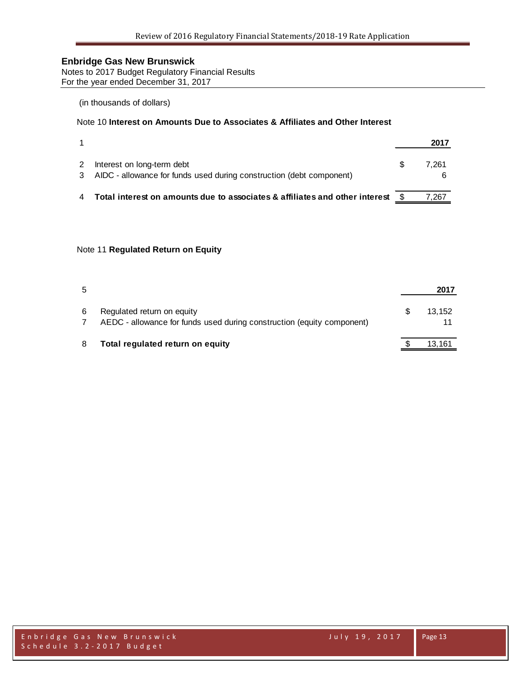Notes to 2017 Budget Regulatory Financial Results For the year ended December 31, 2017

#### (in thousands of dollars)

## Note 10 **Interest on Amounts Due to Associates & Affiliates and Other Interest**

|                                                                                                      | 2017  |
|------------------------------------------------------------------------------------------------------|-------|
| Interest on long-term debt<br>3 AIDC - allowance for funds used during construction (debt component) | 7.261 |
| Total interest on amounts due to associates & affiliates and other interest \$                       | 267.  |

#### Note 11 **Regulated Return on Equity**

| 5 |                                                                                                      | 2017   |
|---|------------------------------------------------------------------------------------------------------|--------|
| 6 | Regulated return on equity<br>AEDC - allowance for funds used during construction (equity component) | 13.152 |
| 8 | Total regulated return on equity                                                                     | 13,161 |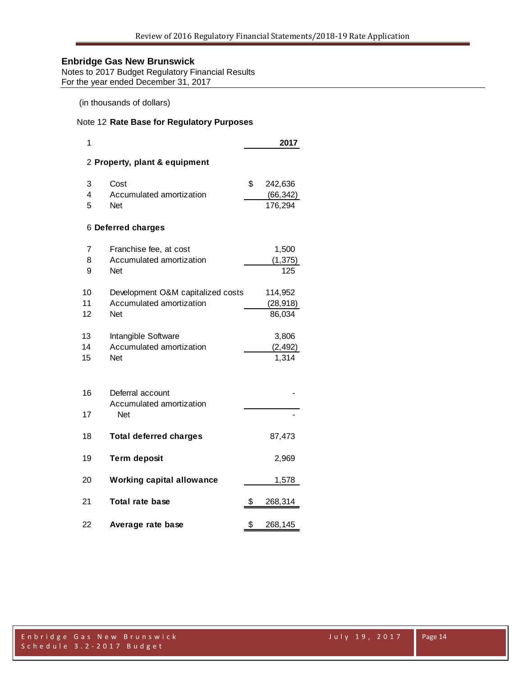Notes to 2017 Budget Regulatory Financial Results For the year ended December 31, 2017

(in thousands of dollars)

## Note 12 **Rate Base for Regulatory Purposes**

| 1                             |                                   |    | 2017      |  |  |  |  |  |  |
|-------------------------------|-----------------------------------|----|-----------|--|--|--|--|--|--|
| 2 Property, plant & equipment |                                   |    |           |  |  |  |  |  |  |
| 3                             | Cost                              | \$ | 242,636   |  |  |  |  |  |  |
| 4                             | Accumulated amortization          |    | (66, 342) |  |  |  |  |  |  |
| 5                             | <b>Net</b>                        |    | 176,294   |  |  |  |  |  |  |
|                               | 6 Deferred charges                |    |           |  |  |  |  |  |  |
| 7                             | Franchise fee, at cost            |    | 1,500     |  |  |  |  |  |  |
| 8                             | Accumulated amortization          |    | (1, 375)  |  |  |  |  |  |  |
| 9                             | <b>Net</b>                        |    | 125       |  |  |  |  |  |  |
| 10                            | Development O&M capitalized costs |    | 114,952   |  |  |  |  |  |  |
| 11                            | Accumulated amortization          |    | (28, 918) |  |  |  |  |  |  |
| 12                            | <b>Net</b>                        |    | 86,034    |  |  |  |  |  |  |
| 13                            | Intangible Software               |    | 3,806     |  |  |  |  |  |  |
| 14                            | Accumulated amortization          |    | (2, 492)  |  |  |  |  |  |  |
| 15                            | <b>Net</b>                        |    | 1,314     |  |  |  |  |  |  |
|                               |                                   |    |           |  |  |  |  |  |  |
| 16                            | Deferral account                  |    |           |  |  |  |  |  |  |
|                               | Accumulated amortization          |    |           |  |  |  |  |  |  |
| 17                            | <b>Net</b>                        |    |           |  |  |  |  |  |  |
| 18                            | <b>Total deferred charges</b>     |    | 87,473    |  |  |  |  |  |  |
| 19                            | <b>Term deposit</b>               |    | 2,969     |  |  |  |  |  |  |
| 20                            | <b>Working capital allowance</b>  |    | 1,578     |  |  |  |  |  |  |
| 21                            | <b>Total rate base</b>            | \$ | 268,314   |  |  |  |  |  |  |
| 22                            | Average rate base                 | \$ | 268,145   |  |  |  |  |  |  |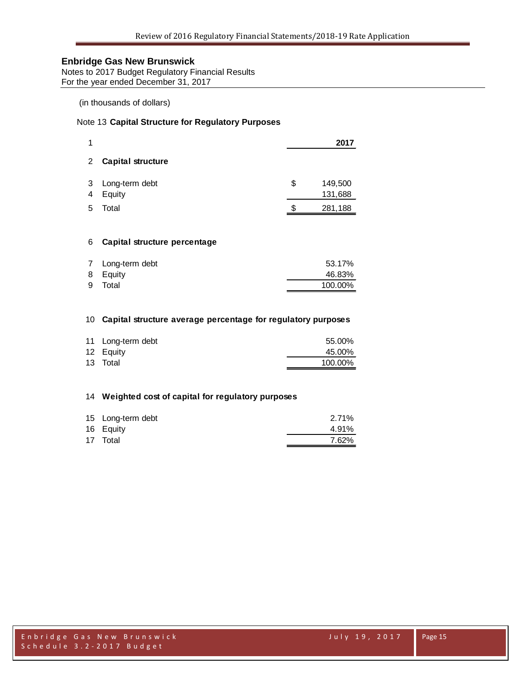**Notes to 2017 Budget Regulatory Financial Results** For the year ended December 31, 2017

## (in thousands of dollars)

## Note 13 **Capital Structure for Regulatory Purposes**

| 1              |                              |    | 2017               |
|----------------|------------------------------|----|--------------------|
| $\mathbf{2}$   | <b>Capital structure</b>     |    |                    |
| 3<br>4         | Long-term debt<br>Equity     | \$ | 149,500<br>131,688 |
| 5              | Total                        | S. | 281,188            |
|                |                              |    |                    |
| 6              | Capital structure percentage |    |                    |
| $\overline{7}$ | Long-term debt               |    | 53 17%             |

| 7 Long-term debt | 53.17%  |
|------------------|---------|
| 8 Equity         | 46.83%  |
| 9 Total          | 100.00% |

#### **Capital structure average percentage for regulatory purposes**

| 11 Long-term debt | 55.00%  |
|-------------------|---------|
| 12 Equity         | 45.00%  |
| 13 Total          | 100.00% |

#### **Weighted cost of capital for regulatory purposes**

| 15 Long-term debt | 2.71% |
|-------------------|-------|
| 16 Equity         | 4.91% |
| 17 Total          | 7.62% |